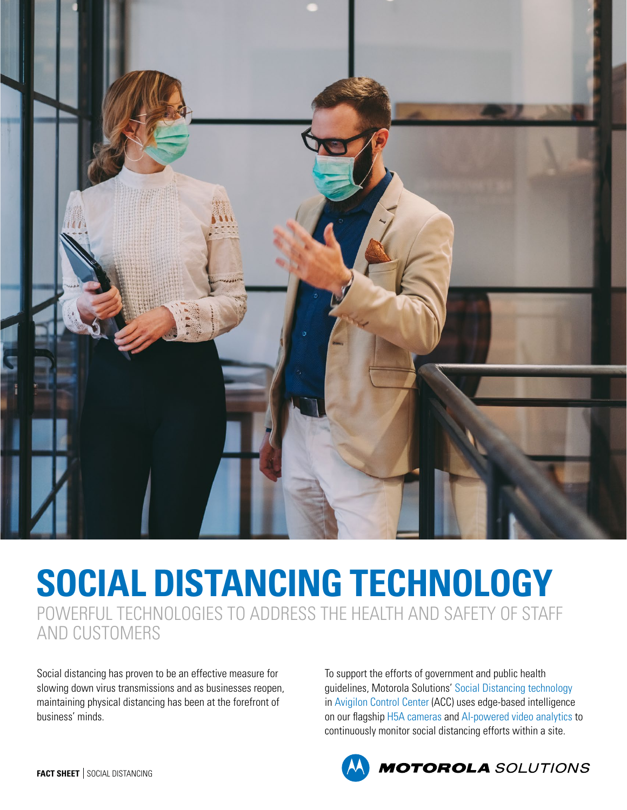

## **SOCIAL DISTANCING TECHNOLOGY**

POWERFUL TECHNOLOGIES TO ADDRESS THE HEALTH AND SAFETY OF STAFF AND CUSTOMERS

Social distancing has proven to be an effective measure for slowing down virus transmissions and as businesses reopen, maintaining physical distancing has been at the forefront of business' minds.

To support the efforts of government and public health guidelines, Motorola Solutions' [Social Distancing technology](https://www.avigilon.com/solutions/covid-19-resources/assets/social-distancing-solutions-white-paper.pdf) in [Avigilon Control Center](https://www.avigilon.com/products/acc/7) (ACC) uses edge-based intelligence on our flagship [H5A cameras](https://www.avigilon.com/products/cameras-sensors/h5a) and [AI-powered video analytics](https://www.avigilon.com/products/ai-video-analytics/) to continuously monitor social distancing efforts within a site.